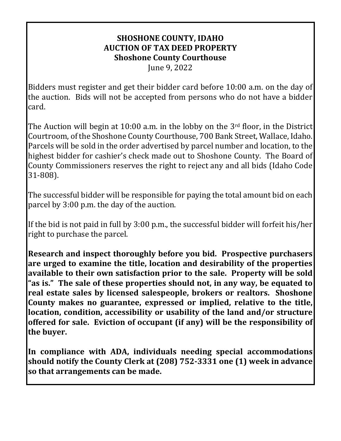# **SHOSHONE COUNTY, IDAHO AUCTION OF TAX DEED PROPERTY Shoshone County Courthouse**

June 9, 2022

Bidders must register and get their bidder card before 10:00 a.m. on the day of the auction. Bids will not be accepted from persons who do not have a bidder card.

The Auction will begin at 10:00 a.m. in the lobby on the  $3<sup>rd</sup>$  floor, in the District Courtroom, of the Shoshone County Courthouse, 700 Bank Street, Wallace, Idaho. Parcels will be sold in the order advertised by parcel number and location, to the highest bidder for cashier's check made out to Shoshone County. The Board of County Commissioners reserves the right to reject any and all bids (Idaho Code 31-808).

The successful bidder will be responsible for paying the total amount bid on each parcel by 3:00 p.m. the day of the auction.

If the bid is not paid in full by 3:00 p.m., the successful bidder will forfeit his/her right to purchase the parcel.

**Research and inspect thoroughly before you bid. Prospective purchasers are urged to examine the title, location and desirability of the properties available to their own satisfaction prior to the sale. Property will be sold "as is." The sale of these properties should not, in any way, be equated to real estate sales by licensed salespeople, brokers or realtors. Shoshone County makes no guarantee, expressed or implied, relative to the title, location, condition, accessibility or usability of the land and/or structure offered for sale. Eviction of occupant (if any) will be the responsibility of the buyer.** 

**In compliance with ADA, individuals needing special accommodations should notify the County Clerk at (208) 752-3331 one (1) week in advance so that arrangements can be made.**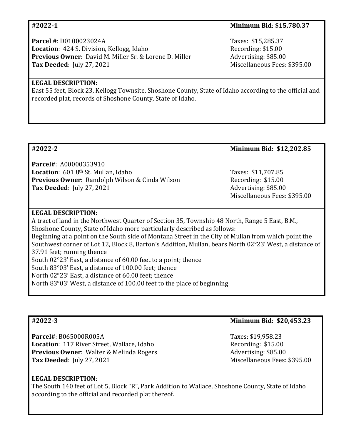| #2022-1                                                                                                                                                                                            | Minimum Bid: \$15,780.37                                                                         |
|----------------------------------------------------------------------------------------------------------------------------------------------------------------------------------------------------|--------------------------------------------------------------------------------------------------|
| Parcel #: D0100023024A<br><b>Location:</b> 424 S. Division, Kellogg, Idaho<br>Previous Owner: David M. Miller Sr. & Lorene D. Miller<br><b>Tax Deeded: July 27, 2021</b>                           | Taxes: \$15,285.37<br>Recording: \$15.00<br>Advertising: \$85.00<br>Miscellaneous Fees: \$395.00 |
| <b>LEGAL DESCRIPTION:</b><br>East 55 feet, Block 23, Kellogg Townsite, Shoshone County, State of Idaho according to the official and<br>recorded plat, records of Shoshone County, State of Idaho. |                                                                                                  |

| #2022-2                                                                                                                                                | Minimum Bid: \$12,202.85                                                                         |
|--------------------------------------------------------------------------------------------------------------------------------------------------------|--------------------------------------------------------------------------------------------------|
| Parcel#: A00000353910<br>Location: 601 8th St. Mullan, Idaho<br><b>Previous Owner: Randolph Wilson &amp; Cinda Wilson</b><br>Tax Deeded: July 27, 2021 | Taxes: \$11,707.85<br>Recording: \$15.00<br>Advertising: \$85.00<br>Miscellaneous Fees: \$395.00 |
| <b>LEGAL DESCRIPTION:</b>                                                                                                                              |                                                                                                  |
| A tract of land in the Northwest Quarter of Section 35, Township 48 North, Range 5 East, B.M.,                                                         |                                                                                                  |
| Shoshone County, State of Idaho more particularly described as follows:                                                                                |                                                                                                  |
| Beginning at a point on the South side of Montana Street in the City of Mullan from which point the                                                    |                                                                                                  |
| Southwest corner of Lot 12, Block 8, Barton's Addition, Mullan, bears North 02°23' West, a distance of                                                 |                                                                                                  |
| 37.91 feet; running thence                                                                                                                             |                                                                                                  |
| South 02°23' East, a distance of 60.00 feet to a point; thence                                                                                         |                                                                                                  |
| South 83°03' East, a distance of 100.00 feet; thence                                                                                                   |                                                                                                  |
| North 02°23' East, a distance of 60.00 feet; thence                                                                                                    |                                                                                                  |
| North 83°03' West, a distance of 100.00 feet to the place of beginning                                                                                 |                                                                                                  |

| #2022-3                                                                                                                                                              | Minimum Bid: \$20,453.23                                                                         |
|----------------------------------------------------------------------------------------------------------------------------------------------------------------------|--------------------------------------------------------------------------------------------------|
| Parcel#: B065000R005A<br><b>Location: 117 River Street, Wallace, Idaho</b><br><b>Previous Owner: Walter &amp; Melinda Rogers</b><br><b>Tax Deeded: July 27, 2021</b> | Taxes: \$19,958.23<br>Recording: \$15.00<br>Advertising: \$85.00<br>Miscellaneous Fees: \$395.00 |
| <b>LEGAL DESCRIPTION:</b>                                                                                                                                            |                                                                                                  |

The South 140 feet of Lot 5, Block "R", Park Addition to Wallace, Shoshone County, State of Idaho according to the official and recorded plat thereof.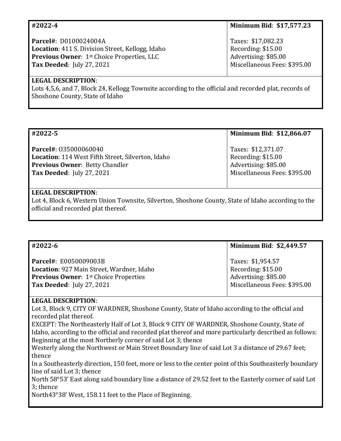| #2022-4                                           | <b>Minimum Bid: \$17,577.23</b> |
|---------------------------------------------------|---------------------------------|
| Parcel#: D0100024004A                             | Taxes: \$17,082.23              |
| Location: 411 S. Division Street, Kellogg, Idaho  | Recording: \$15.00              |
| <b>Previous Owner: 1st Choice Properties, LLC</b> | Advertising: \$85.00            |
| <b>Tax Deeded: July 27, 2021</b>                  | Miscellaneous Fees: \$395.00    |

### **LEGAL DESCRIPTION**:

Lots 4,5,6, and 7, Block 24, Kellogg Townsite according to the official and recorded plat, records of Shoshone County, State of Idaho

| #2022-5                                                                                                                                                               | Minimum Bid: \$12,866.07                                                                         |
|-----------------------------------------------------------------------------------------------------------------------------------------------------------------------|--------------------------------------------------------------------------------------------------|
| <b>Parcel#: 035000060040</b><br><b>Location: 114 West Fifth Street, Silverton, Idaho</b><br><b>Previous Owner: Betty Chandler</b><br><b>Tax Deeded: July 27, 2021</b> | Taxes: \$12,371.07<br>Recording: \$15.00<br>Advertising: \$85.00<br>Miscellaneous Fees: \$395.00 |
|                                                                                                                                                                       |                                                                                                  |

### **LEGAL DESCRIPTION**:

Lot 4, Block 6, Western Union Townsite, Silverton, Shoshone County, State of Idaho according to the official and recorded plat thereof.

| #2022-6                                          | Minimum Bid: \$2,449.57      |
|--------------------------------------------------|------------------------------|
| <b>Parcel#: E0050009003B</b>                     | Taxes: \$1,954.57            |
| <b>Location: 927 Main Street, Wardner, Idaho</b> | Recording: \$15.00           |
| <b>Previous Owner: 1st Choice Properties</b>     | Advertising: \$85.00         |
| <b>Tax Deeded: July 27, 2021</b>                 | Miscellaneous Fees: \$395.00 |

# **LEGAL DESCRIPTION**:

Lot 3, Block 9, CITY OF WARDNER, Shoshone County, State of Idaho according to the official and recorded plat thereof.

EXCEPT: The Northeasterly Half of Lot 3, Block 9 CITY OF WARDNER, Shoshone County, State of Idaho, according to the official and recorded plat thereof and more particularly described as follows: Beginning at the most Northerly corner of said Lot 3; thence

Westerly along the Northwest or Main Street Boundary line of said Lot 3 a distance of 29.67 feet; thence

In a Southeasterly direction, 150 feet, more or less to the center point of this Southeasterly boundary line of said Lot 3; thence

North 58°53' East along said boundary line a distance of 29.52 feet to the Easterly corner of said Lot 3; thence

North43°38' West, 158.11 feet to the Place of Beginning.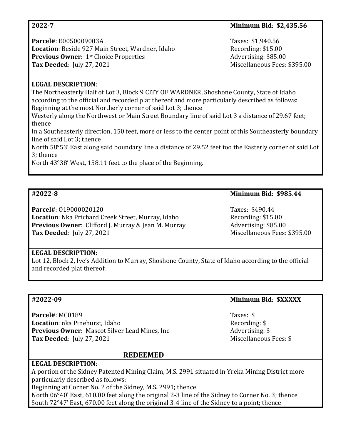| 2022-7                                                                                                                                                                                                                                                                                                                                                            | Minimum Bid: \$2,435.56                                                                         |
|-------------------------------------------------------------------------------------------------------------------------------------------------------------------------------------------------------------------------------------------------------------------------------------------------------------------------------------------------------------------|-------------------------------------------------------------------------------------------------|
| Parcel#: E0050009003A<br>Location: Beside 927 Main Street, Wardner, Idaho<br><b>Previous Owner: 1st Choice Properties</b><br><b>Tax Deeded: July 27, 2021</b>                                                                                                                                                                                                     | Taxes: \$1,940.56<br>Recording: \$15.00<br>Advertising: \$85.00<br>Miscellaneous Fees: \$395.00 |
| <b>LEGAL DESCRIPTION:</b>                                                                                                                                                                                                                                                                                                                                         |                                                                                                 |
| The Northeasterly Half of Lot 3, Block 9 CITY OF WARDNER, Shoshone County, State of Idaho<br>according to the official and recorded plat thereof and more particularly described as follows:<br>Beginning at the most Northerly corner of said Lot 3; thence<br>Westerly along the Northwest or Main Street Boundary line of said Lot 3 a distance of 29.67 feet; |                                                                                                 |
| thence<br>In a Southeasterly direction, 150 feet, more or less to the center point of this Southeasterly boundary                                                                                                                                                                                                                                                 |                                                                                                 |

line of said Lot 3; thence North 58°53' East along said boundary line a distance of 29.52 feet too the Easterly corner of said Lot 3; thence

North 43°38' West, 158.11 feet to the place of the Beginning.

| #2022-8                                                    | <b>Minimum Bid: \$985.44</b> |
|------------------------------------------------------------|------------------------------|
| Parcel#: 019000020120                                      | Taxes: \$490.44              |
| Location: Nka Prichard Creek Street, Murray, Idaho         | Recording: \$15.00           |
| <b>Previous Owner:</b> Clifford J. Murray & Jean M. Murray | Advertising: \$85.00         |
| <b>Tax Deeded: July 27, 2021</b>                           | Miscellaneous Fees: \$395.00 |

# **LEGAL DESCRIPTION**:

Lot 12, Block 2, Ive's Addition to Murray, Shoshone County, State of Idaho according to the official and recorded plat thereof.

| #2022-09                                                                                         | Minimum Bid: \$XXXXX   |
|--------------------------------------------------------------------------------------------------|------------------------|
|                                                                                                  |                        |
| Parcel#: MC0189                                                                                  | Taxes: \$              |
| Location: nka Pinehurst, Idaho                                                                   | Recording: $$$         |
| <b>Previous Owner: Mascot Silver Lead Mines, Inc.</b>                                            | Advertising: \$        |
| <b>Tax Deeded: July 27, 2021</b>                                                                 | Miscellaneous Fees: \$ |
|                                                                                                  |                        |
| <b>REDEEMED</b>                                                                                  |                        |
| <b>LEGAL DESCRIPTION:</b>                                                                        |                        |
| A portion of the Sidney Patented Mining Claim, M.S. 2991 situated in Yreka Mining District more  |                        |
| particularly described as follows:                                                               |                        |
| Beginning at Corner No. 2 of the Sidney, M.S. 2991; thence                                       |                        |
| North 06°40' East, 610.00 feet along the original 2-3 line of the Sidney to Corner No. 3; thence |                        |

South 72°47' East, 670.00 feet along the original 3-4 line of the Sidney to a point; thence